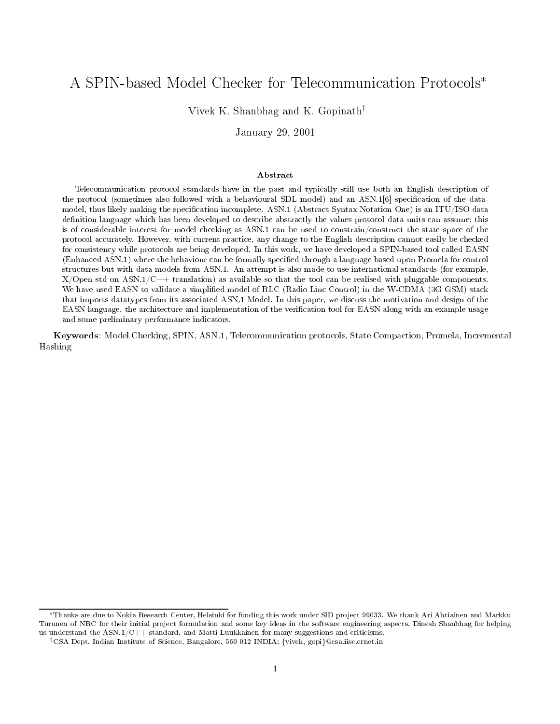# A SPIN-based Model Checker for Telecommunication Protocols

Vivek K. Shanbhag and K. Gopinathy

 $J_{\text{S}}$   $J_{\text{S}}$  2001  $I_{\text{S}}$  29, 2001  $I_{\text{S}}$  2001  $I_{\text{S}}$  2001  $I_{\text{S}}$ 

### Abstract

Telecommunication protocol standards have in the past and typically still use both an English description of the protocol (sometimes also followed with a behavioural SDL model) and an ASN.1[6] specification of the datamodel, thus likely making the specification incomplete. ASN.1 (Abstract Syntax Notation One) is an ITU/ISO data definition language which has been developed to describe abstractly the values protocol data units can assume; this is of considerable interest for model checking as ASN.1 can be used to constrain/construct the state space of the protocol accurately. However, with current practice, any change to the English description cannot easily be checked for consistency while protocols are being developed. In this work, we have developed a SPIN-based tool called EASN (Enhanced ASN.1) where the behaviour can be formally specified through a language based upon Promela for control structures but with data models from ASN.1. An attempt is also made to use international standards (for example,  $X/O$ pen std on  $ASN.1/C++$  translation) as available so that the tool can be realised with pluggable components. We have used EASN to validate a simplified model of RLC (Radio Linc Control) in the W-CDMA (3G GSM) stack that imports datatypes from its associated ASN.1 Model. In this paper, we discuss the motivation and design of the EASN language, the architecture and implementation of the verification tool for EASN along with an example usage and some preliminary performance indicators.

Keywords: Model Checking, SPIN, ASN.1, Telecommunication protocols, State Compaction, Promela, Incremental Hashing

<sup>\*</sup>Thanks are due to Nokia Research Center, Helsinki for funding this work under SID project 99033. We thank Ari Ahtiainen and Markku Turunen of NRC for their initial project formulation and some key ideas in the software engineering aspects, Dinesh Shanbhag for helping us understand the  $\text{ASN.1/C++}$  standard, and Matti Luukkainen for many suggestions and criticisms.

<sup>&</sup>lt;sup>†</sup>CSA Dept, Indian Institute of Science, Bangalore, 560 012 INDIA; {vivek, gopi}@csa.iisc.ernet.in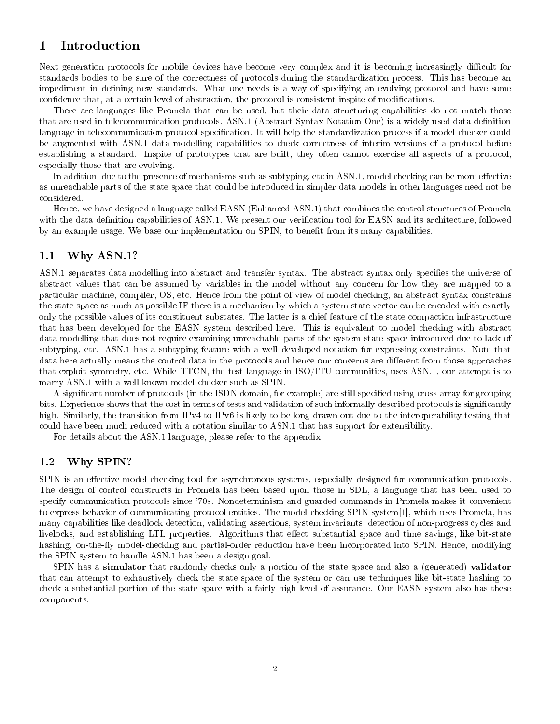## 1 Introduction

Next generation protocols for mobile devices have become very complex and it is becoming increasingly difficult for standards bodies to be sure of the correctness of protocols during the standardization process. This has become an impediment in defining new standards. What one needs is a way of specifying an evolving protocol and have some confidence that, at a certain level of abstraction, the protocol is consistent inspite of modifications.

There are languages like Promela that can be used, but their data structuring capabilities do not match those that are used in telecommunication protocols. ASN.1 (Abstract Syntax Notation One) is a widely used data definition language in telecommunication protocol specification. It will help the standardization process if a model checker could be augmented with ASN.1 data modelling capabilities to check correctness of interim versions of a protocol before establishing a standard. Inspite of prototypes that are built, they often cannot exercise all aspects of a protocol, especially those that are evolving.

In addition, due to the presence of mechanisms such as subtyping, etc in ASN.1, model checking can be more effective as unreachable parts of the state space that could be introduced in simpler data models in other languages need not be considered.

Hence, we have designed a language called EASN (Enhanced ASN.1) that combines the control structures of Promela with the data definition capabilities of ASN.1. We present our verification tool for EASN and its architecture, followed by an example usage. We base our implementation on SPIN, to benefit from its many capabilities.

## 1.1 Why ASN.1?

ASN.1 separates data modelling into abstract and transfer syntax. The abstract syntax only specifies the universe of abstract values that can be assumed by variables in the model without any concern for how they are mapped to a particular machine, compiler, OS, etc. Hence from the point of view of model checking, an abstract syntax constrains the state space as much as possible IF there is a mechanism by which a system state vector can be encoded with exactly only the possible values of its constituent substates. The latter is a chief feature of the state compaction infrastructure that has been developed for the EASN system described here. This is equivalent to model checking with abstract data modelling that does not require examining unreachable parts of the system state space introduced due to lack of subtyping, etc. ASN.1 has a subtyping feature with a well developed notation for expressing constraints. Note that data here actually means the control data in the protocols and hence our concerns are different from those approaches that exploit symmetry, etc. While TTCN, the test language in ISO/ITU communities, uses ASN.1, our attempt is to marry ASN.1 with a well known model checker such as SPIN.

A significant number of protocols (in the ISDN domain, for example) are still specified using cross-array for grouping bits. Experience shows that the cost in terms of tests and validation of such informally described protocols is significantly high. Similarly, the transition from IPv4 to IPv6 is likely to be long drawn out due to the interoperability testing that could have been much reduced with a notation similar to ASN.1 that has support for extensibility.

For details about the ASN.1 language, please refer to the appendix.

## 1.2 Why SPIN?

SPIN is an effective model checking tool for asynchronous systems, especially designed for communication protocols. The design of control constructs in Promela has been based upon those in SDL, a language that has been used to specify communication protocols since '70s. Nondeterminism and guarded commands in Promela makes it convenient to express behavior of communicating protocol entities. The model checking SPIN system[1], which uses Promela, has many capabilities like deadlock detection, validating assertions, system invariants, detection of non-progress cycles and livelocks, and establishing LTL properties. Algorithms that effect substantial space and time savings, like bit-state hashing, on-the-fly model-checking and partial-order reduction have been incorporated into SPIN. Hence, modifying the SPIN system to handle ASN.1 has been a design goal.

SPIN has a **simulator** that randomly checks only a portion of the state space and also a (generated) **validator** that can attempt to exhaustively check the state space of the system or can use techniques like bit-state hashing to check a substantial portion of the state space with a fairly high level of assurance. Our EASN system also has these components.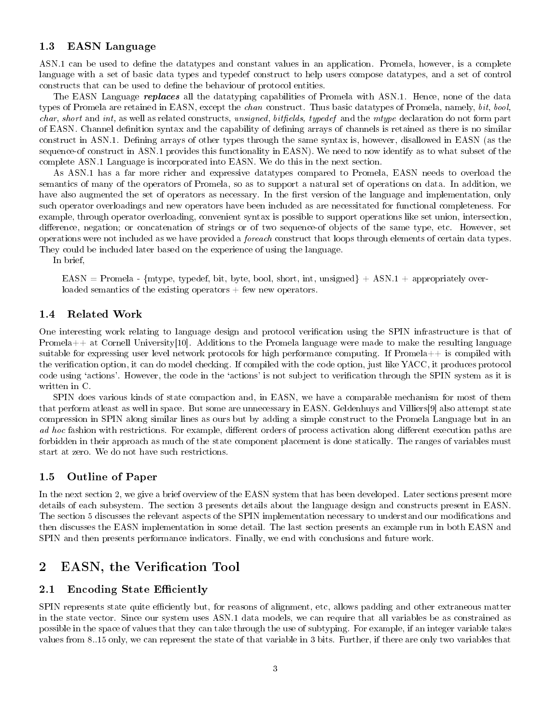## 1.3 EASN Language

ASN.1 can be used to define the datatypes and constant values in an application. Promela, however, is a complete language with a set of basic data types and typedef construct to help users compose datatypes, and a set of control constructs that can be used to define the behaviour of protocol entities.

The EASN Language replaces all the datatyping capabilities of Promela with ASN.1. Hence, none of the data types of Promela are retained in EASN, except the *chan* construct. Thus basic datatypes of Promela, namely, *bit, bool*, *char, short* and *int,* as well as related constructs, unsigned, bitfields, typedef and the mtype declaration do not form part of EASN. Channel definition syntax and the capability of defining arrays of channels is retained as there is no similar construct in ASN.1. Defining arrays of other types through the same syntax is, however, disallowed in EASN (as the sequence-of construct in ASN.1 provides this functionality in EASN). We need to now identify as to what subset of the complete ASN.1 Language is incorporated into EASN. We do this in the next section.

As ASN.1 has a far more richer and expressive datatypes compared to Promela, EASN needs to overload the semantics of many of the operators of Promela, so as to support a natural set of operations on data. In addition, we have also augmented the set of operators as necessary. In the first version of the language and implementation, only such operator overloadings and new operators have been included as are necessitated for functional completeness. For example, through operator overloading, convenient syntax is possible to support operations like set union, intersection, difference, negation; or concatenation of strings or of two sequence-of objects of the same type, etc. However, set operations were not included as we have provided a foreach construct that loops through elements of certain data types. They could be included later based on the experience of using the language.

In brief,

 $EASN =$  Promela - {mtype, typedef, bit, byte, bool, short, int, unsigned} + ASN.1 + appropriately overloaded semantics of the existing operators  $+$  few new operators.

## 1.4 Related Work

One interesting work relating to language design and protocol verification using the SPIN infrastructure is that of Promela++ at Cornell University[10]. Additions to the Promela language were made to make the resulting language suitable for expressing user level network protocols for high performance computing. If  $Promela++$  is compiled with the verification option, it can do model checking. If compiled with the code option, just like YACC, it produces protocol code using 'actions'. However, the code in the 'actions' is not subject to verification through the SPIN system as it is written in C.

SPIN does various kinds of state compaction and, in EASN, we have a comparable mechanism for most of them that perform atleast as well in space. But some are unnecessary in EASN. Geldenhuys and Villiers[9] also attempt state compression in SPIN along similar lines as ours but by adding a simple construct to the Promela Language but in an ad hoc fashion with restrictions. For example, dierent orders of process activation along dierent execution paths are forbidden in their approach as much of the state component placement is done statically. The ranges of variables must start at zero. We do not have such restrictions.

## 1.5 Outline of Paper

In the next section 2, we give a brief overview of the EASN system that has been developed. Later sections present more details of each subsystem. The section 3 presents details about the language design and constructs present in EASN. The section 5 discusses the relevant aspects of the SPIN implementation necessary to understand our modifications and then discusses the EASN implementation in some detail. The last section presents an example run in both EASN and SPIN and then presents performance indicators. Finally, we end with conclusions and future work.

#### $\overline{2}$ EASN, the Verification Tool

## 2.1 Encoding State Efficiently

SPIN represents state quite efficiently but, for reasons of alignment, etc, allows padding and other extraneous matter in the state vector. Since our system uses ASN.1 data models, we can require that all variables be as constrained as possible in the space of values that they can take through the use of subtyping. For example, if an integer variable takes values from 8..15 only, we can represent the state of that variable in 3 bits. Further, if there are only two variables that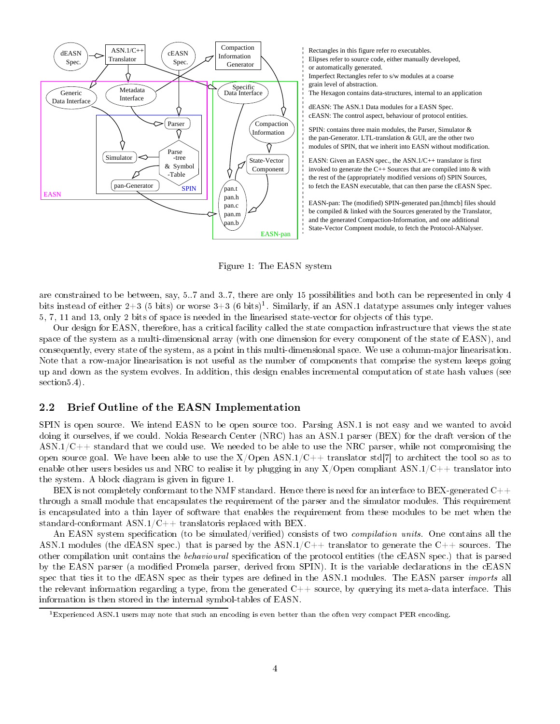

Figure 1: The EASN system

are constrained to be between, say, 5..7 and 3..7, there are only 15 possibilities and both can be represented in only 4 bits instead of either 2+3 (5 bits) or worse 3+3 (6 bits)1 . Similarly, if an ASN.1 datatype assumes only integer values 5, 7, 11 and 13, only 2 bits of space is needed in the linearised state-vector for objects of this type.

Our design for EASN, therefore, has a critical facility called the state compaction infrastructure that views the state space of the system as a multi-dimensional array (with one dimension for every component of the state of EASN), and consequently, every state of the system, as a point in this multi-dimensional space. We use a column-major linearisation. Note that a row-major linearisation is not useful as the number of components that comprise the system keeps going up and down as the system evolves. In addition, this design enables incremental computation of state hash values (see section5.4).

## 2.2 Brief Outline of the EASN Implementation

SPIN is open source. We intend EASN to be open source too. Parsing ASN.1 is not easy and we wanted to avoid doing it ourselves, if we could. Nokia Research Center (NRC) has an ASN.1 parser (BEX) for the draft version of the  $\text{ASN.1}/\text{C++}$  standard that we could use. We needed to be able to use the NRC parser, while not compromising the open source goal. We have been able to use the  $X/O$ pen ASN.1/C++ translator std[7] to architect the tool so as to enable other users besides us and NRC to realise it by plugging in any  $X/O$ pen compliant ASN.1/C++ translator into the system. A block diagram is given in figure 1.

BEX is not completely conformant to the NMF standard. Hence there is need for an interface to BEX-generated C++ through a small module that encapsulates the requirement of the parser and the simulator modules. This requirement is encapsulated into a thin layer of software that enables the requirement from these modules to be met when the standard-conformant  $\text{ASN.1}/\text{C++}$  translatoris replaced with BEX.

An EASN system specification (to be simulated/verified) consists of two *compilation units*. One contains all the ASN.1 modules (the dEASN spec.) that is parsed by the ASN.1/C++ translator to generate the C++ sources. The other compilation unit contains the *behavioural* specification of the protocol entities (the cEASN spec.) that is parsed by the EASN parser (a modied Promela parser, derived from SPIN). It is the variable declarations in the cEASN spec that ties it to the dEASN spec as their types are defined in the ASN.1 modules. The EASN parser *imports* all the relevant information regarding a type, from the generated  $C++$  source, by querying its meta-data interface. This information is then stored in the internal symbol-tables of EASN.

 ${}^{1}$ Experienced ASN.1 users may note that such an encoding is even better than the often very compact PER encoding.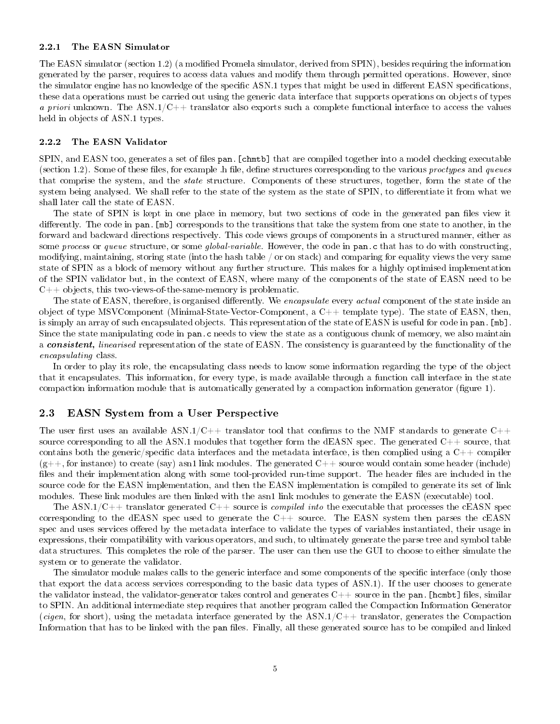#### 2.2.1 The EASN Simulator

The EASN simulator (section 1.2) (a modified Promela simulator, derived from SPIN), besides requiring the information generated by the parser, requires to access data values and modify them through permitted operations. However, since the simulator engine has no knowledge of the specific ASN.1 types that might be used in different EASN specifications, these data operations must be carried out using the generic data interface that supports operations on objects of types a priori undoctor the ASN.1-C++ translator also exports such a complete functional interface to access the values held in objects of ASN.1 types.

### 2.2.2 The EASN Validator

SPIN, and EASN too, generates a set of files pan. [chmtb] that are compiled together into a model checking executable (section 1.2). Some of these files, for example .h file, define structures corresponding to the various *proctypes* and *queues* that comprise the system, and the state structure. Components of these structures, together, form the state of the system being analysed. We shall refer to the state of the system as the state of SPIN, to differentiate it from what we shall later call the state of EASN.

The state of SPIN is kept in one place in memory, but two sections of code in the generated pan files view it differently. The code in pan. [mb] corresponds to the transitions that take the system from one state to another, in the forward and backward directions respectively. This code views groups of components in a structured manner, either as some process or queue structure, or some global-variable. However, the code in pan.c that has to do with constructing, modifying, maintaining, storing state (into the hash table / or on stack) and comparing for equality views the very same state of SPIN as a block of memory without any further structure. This makes for a highly optimised implementation of the SPIN validator but, in the context of EASN, where many of the components of the state of EASN need to be  $C++$  objects, this two-views-of-the-same-memory is problematic.

The state of EASN, therefore, is organised differently. We encapsulate every actual component of the state inside an ob ject of type MSVComponent (Minimal-State-Vector-Component, a C++ template type). The state of EASN, then, is simply an array of such encapsulated objects. This representation of the state of EASN is useful for code in pan. [mb]. Since the state manipulating code in pan.c needs to view the state as a contiguous chunk of memory, we also maintain a consistent, linearised representation of the state of EASN. The consistency is guaranteed by the functionality of the encapsulating class.

In order to play its role, the encapsulating class needs to know some information regarding the type of the object that it encapsulates. This information, for every type, is made available through a function call interface in the state compaction information module that is automatically generated by a compaction information generator (figure 1).

## 2.3 EASN System from a User Perspective

The user first uses an available ASN.1/C++ translator tool that confirms to the NMF standards to generate  $C++$ source corresponding to all the ASN.1 modules that together form the dEASN spec. The generated  $C++$  source, that contains both the generic/specific data interfaces and the metadata interface, is then complied using a  $C++$  compiler  $(g++, for instance)$  to create (say) asn1 link modules. The generated  $C++$  source would contain some header (include) files and their implementation along with some tool-provided run-time support. The header files are included in the source code for the EASN implementation, and then the EASN implementation is compiled to generate its set of link modules. These link modules are then linked with the asn1 link modules to generate the EASN (executable) tool.

The ASN.1/C++ translator generated C++ source is *compiled into* the executable that processes the cEASN spec corresponding to the dEASN spec used to generate the  $C++$  source. The EASN system then parses the cEASN spec and uses services offered by the metadata interface to validate the types of variables instantiated, their usage in expressions, their compatibility with various operators, and such, to ultimately generate the parse tree and symbol table data structures. This completes the role of the parser. The user can then use the GUI to choose to either simulate the system or to generate the validator.

The simulator module makes calls to the generic interface and some components of the specific interface (only those that export the data access services corresponding to the basic data types of ASN.1). If the user chooses to generate the validator instead, the validator-generator takes control and generates  $C++$  source in the pan. [hcmbt] files, similar to SPIN. An additional intermediate step requires that another program called the Compaction Information Generator (cigen, for short), using the metadata interface generated by the  $ASN.1/C++$  translator, generates the Compaction Information that has to be linked with the pan files. Finally, all these generated source has to be compiled and linked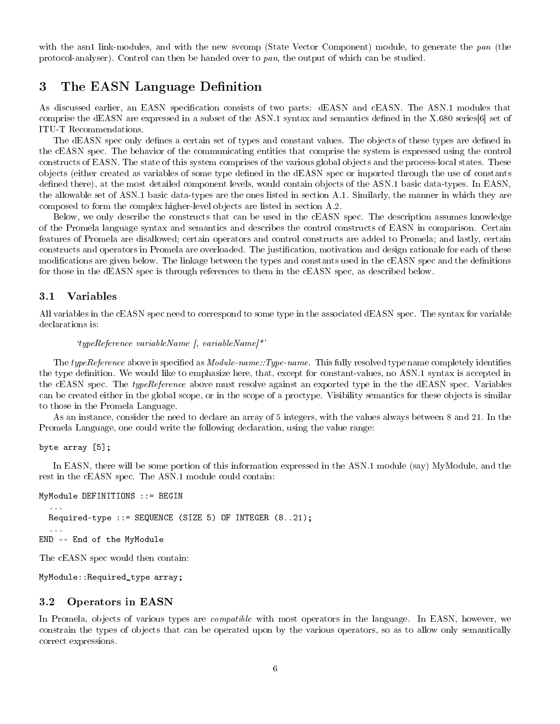with the asn1 link-modules, and with the new svcomp (State Vector Component) module, to generate the pan (the protocol-analyser). Control can then be handed over to pan, the output of which can be studied.

#### 3 The EASN Language Definition

As discussed earlier, an EASN specification consists of two parts: dEASN and cEASN. The ASN.1 modules that comprise the dEASN are expressed in a subset of the ASN.1 syntax and semantics defined in the X.680 series [6] set of ITU-T Recommendations.

The dEASN spec only defines a certain set of types and constant values. The objects of these types are defined in the cEASN spec. The behavior of the communicating entities that comprise the system is expressed using the control constructs of EASN. The state of this system comprises of the various global ob jects and the process-local states. These ob jects (either created as variables of some type dened in the dEASN spec or imported through the use of constants defined there), at the most detailed component levels, would contain objects of the ASN.1 basic data-types. In EASN, the allowable set of ASN.1 basic data-types are the ones listed in section A.1. Similarly, the manner in which they are composed to form the complex higher-level objects are listed in section A.2.

Below, we only describe the constructs that can be used in the cEASN spec. The description assumes knowledge of the Promela language syntax and semantics and describes the control constructs of EASN in comparison. Certain features of Promela are disallowed; certain operators and control constructs are added to Promela; and lastly, certain constructs and operators in Promela are overloaded. The justification, motivation and design rationale for each of these modifications are given below. The linkage between the types and constants used in the cEASN spec and the definitions for those in the dEASN spec is through references to them in the cEASN spec, as described below.

## 3.1 Variables

All variables in the cEASN spec need to correspond to some type in the associated dEASN spec. The syntax for variable

```
`typeReference variableName [, variableName]* '
```
The typeReference above is specified as Module-name:: Type-name. This fully resolved type name completely identifies the type definition. We would like to emphasize here, that, except for constant-values, no ASN.1 syntax is accepted in the cEASN spec. The typeReference above must resolve against an exported type in the the dEASN spec. Variables can be created either in the global scope, or in the scope of a proctype. Visibility semantics for these objects is similar to those in the Promela Language.

As an instance, consider the need to declare an array of 5 integers, with the values always between 8 and 21. In the Promela Language, one could write the following declaration, using the value range:

byte array [5];

In EASN, there will be some portion of this information expressed in the ASN.1 module (say) MyModule, and the rest in the cEASN spec. The ASN.1 module could contain:

MyModule DEFINITIONS ::= BEGIN

```
\dddot{\phantom{0}}Required-type ::= SEQUENCE (SIZE 5) OF INTEGER (8..21);
END -- End of the MyModule
```
The cEASN spec would then contain:

MyModule::Required\_type array;

### 3.2 Operators in EASN

In Promela, objects of various types are *compatible* with most operators in the language. In EASN, however, we constrain the types of objects that can be operated upon by the various operators, so as to allow only semantically correct expressions.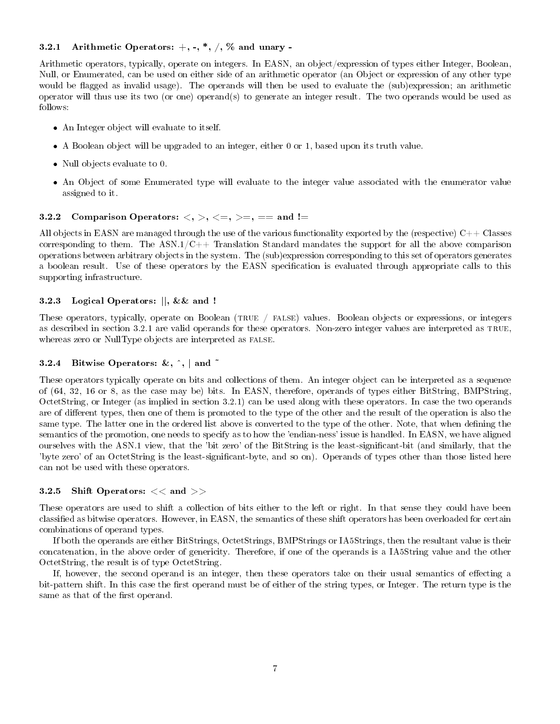## 3.2.1 Arithmetic Operators:  $+$ ,  $-$ ,  $*$ ,  $/$ ,  $\%$  and unary -

Arithmetic operators, typically, operate on integers. In EASN, an object/expression of types either Integer, Boolean, Null, or Enumerated, can be used on either side of an arithmetic operator (an Object or expression of any other type would be flagged as invalid usage). The operands will then be used to evaluate the (sub)expression; an arithmetic operator will thus use its two (or one) operand(s) to generate an integer result. The two operands would be used as follows:

- An Integer ob ject will evaluate to itself.
- A Boolean ob ject will be upgraded to an integer, either 0 or 1, based upon its truth value.
- null observe the contract of the contract of the original state of the contract of the original state of the c
- An Ob ject of some Enumerated type will evaluate to the integer value associated with the enumerator value assigned to it.

## 3.2.2 Comparison Operators:  $\langle , \rangle, \langle = , \rangle =, ==$  and  $!=$

All objects in EASN are managed through the use of the various functionality exported by the (respective)  $C++$  Classes corresponding to them. The  $\text{ASN.1}/\text{C++}$  Translation Standard mandates the support for all the above comparison operations between arbitrary ob jects in the system. The (sub)expression corresponding to this set of operators generates a boolean result. Use of these operators by the EASN specification is evaluated through appropriate calls to this supporting infrastructure.

## 3.2.3 Logical Operators: ||, && and !

These operators, typically, operate on Boolean (TRUE  $/$  FALSE) values. Boolean objects or expressions, or integers as described in section 3.2.1 are valid operands for these operators. Non-zero integer values are interpreted as true, whereas zero or NullType objects are interpreted as FALSE.

### $\mathcal{A}$  and  $\mathcal{A}$  bitwise Operators:  $\mathcal{A}$  and  $\mathcal{A}$  and  $\mathcal{A}$  and  $\mathcal{A}$  and  $\mathcal{A}$  and  $\mathcal{A}$  and  $\mathcal{A}$  and  $\mathcal{A}$

These operators typically operate on bits and collections of them. An integer object can be interpreted as a sequence of (64, 32, 16 or 8, as the case may be) bits. In EASN, therefore, operands of types either BitString, BMPString, OctetString, or Integer (as implied in section 3.2.1) can be used along with these operators. In case the two operands are of different types, then one of them is promoted to the type of the other and the result of the operation is also the same type. The latter one in the ordered list above is converted to the type of the other. Note, that when defining the semantics of the promotion, one needs to specify as to how the 'endian-ness' issue is handled. In EASN, we have aligned ourselves with the ASN.1 view, that the 'bit zero' of the BitString is the least-signicant-bit (and similarly, that the 'byte zero' of an OctetString is the least-signicant-byte, and so on). Operands of types other than those listed here can not be used with these operators.

### 3.2.5 Shift Operators: << and >>

These operators are used to shift a collection of bits either to the left or right. In that sense they could have been classified as bitwise operators. However, in EASN, the semantics of these shift operators has been overloaded for certain combinations of operand types.

If both the operands are either BitStrings, OctetStrings, BMPStrings or IA5Strings, then the resultant value is their concatenation, in the above order of genericity. Therefore, if one of the operands is a IA5String value and the other OctetString, the result is of type OctetString.

If, however, the second operand is an integer, then these operators take on their usual semantics of effecting a bit-pattern shift. In this case the first operand must be of either of the string types, or Integer. The return type is the same as that of the first operand.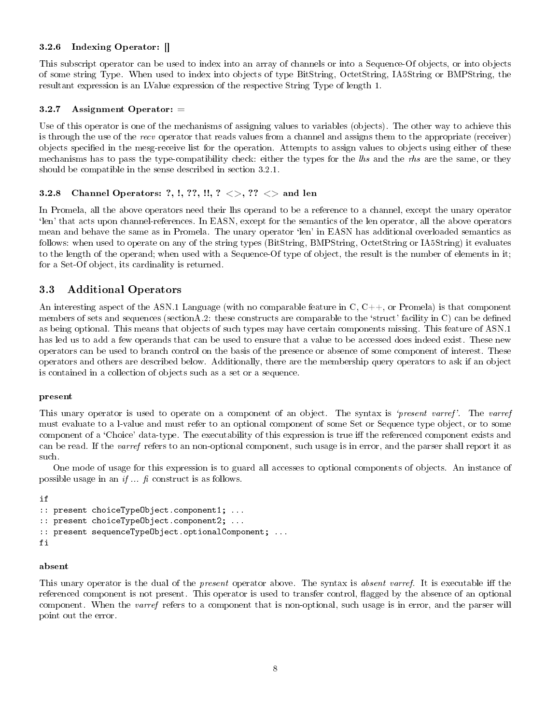## 3.2.6 Indexing Operator: []

This subscript operator can be used to index into an array of channels or into a Sequence-Of objects, or into objects of some string Type. When used to index into objects of type BitString, OctetString, IA5String or BMPString, the resultant expression is an LValue expression of the respective String Type of length 1.

## 3.2.7 Assignment Operator: =

Use of this operator is one of the mechanisms of assigning values to variables (objects). The other way to achieve this is through the use of the recv operator that reads values from a channel and assigns them to the appropriate (receiver) objects specified in the mesg-receive list for the operation. Attempts to assign values to objects using either of these mechanisms has to pass the type-compatibility check: either the types for the lhs and the rhs are the same, or they should be compatible in the sense described in section 3.2.1.

#### Channel Operators: ?, !, ??, !!, ?  $\langle \rangle$ , ??  $\langle \rangle$  and len 3.2.8

In Promela, all the above operators need their lhs operand to be a reference to a channel, except the unary operator `len' that acts upon channel-references. In EASN, except for the semantics of the len operator, all the above operators mean and behave the same as in Promela. The unary operator 'len' in EASN has additional overloaded semantics as follows: when used to operate on any of the string types (BitString, BMPString, OctetString or IA5String) it evaluates to the length of the operand; when used with a Sequence-Of type of ob ject, the result is the number of elements in it; for a Set-Of object, its cardinality is returned.

## 3.3 Additional Operators

An interesting aspect of the ASN.1 Language (with no comparable feature in  $C, C++,$  or Promela) is that component members of sets and sequences (section A.2: these constructs are comparable to the 'struct' facility in  $C$ ) can be defined as being optional. This means that objects of such types may have certain components missing. This feature of ASN.1 has led us to add a few operands that can be used to ensure that a value to be accessed does indeed exist. These new operators can be used to branch control on the basis of the presence or absence of some component of interest. These operators and others are described below. Additionally, there are the membership query operators to ask if an ob ject is contained in a collection of objects such as a set or a sequence.

## present

This unary operator is used to operate on a component of an object. The syntax is 'present varref'. The varref must evaluate to a l-value and must refer to an optional component of some Set or Sequence type ob ject, or to some component of a 'Choice' data-type. The executability of this expression is true iff the referenced component exists and can be read. If the varref refers to an non-optional component, such usage is in error, and the parser shall report it as such.

One mode of usage for this expression is to guard all accesses to optional components of objects. An instance of possible usage in an if  $\ldots$  fi construct is as follows.

```
if
:: present choiceTypeObject.component1; ...
:: present choiceTypeObject.component2; ...
:: present sequenceTypeObject.optionalComponent; ...
fi
```
### absent

This unary operator is the dual of the *present* operator above. The syntax is absent varref. It is executable iff the referenced component is not present. This operator is used to transfer control, flagged by the absence of an optional component. When the varref refers to a component that is non-optional, such usage is in error, and the parser will point out the error.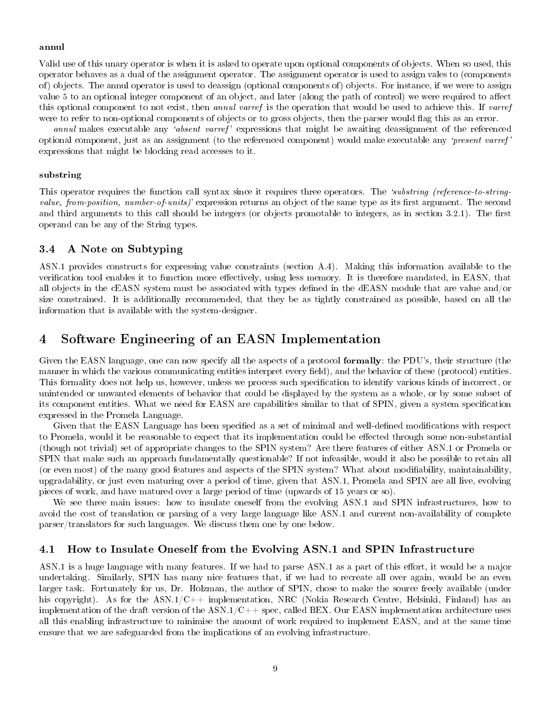#### annul

Valid use of this unary operator is when it is asked to operate upon optional components of objects. When so used, this operator behaves as a dual of the assignment operator. The assignment operator is used to assign vales to (components of) objects. The annul operator is used to deassign (optional components of) objects. For instance, if we were to assign value 5 to an optional integer component of an object, and later (along the path of control) we were required to affect this optional component to not exist, then *annul varref* is the operation that would be used to achieve this. If varref were to refer to non-optional components of objects or to gross objects, then the parser would flag this as an error.

annul makes executable any *'absent varref'* expressions that might be awaiting deassignment of the referenced optional component, just as an assignment (to the referenced component) would make executable any `present varref ' expressions that might be blocking read accesses to it.

### substring

This operator requires the function call syntax since it requires three operators. The 'substring (reference-to-string $value, from-position, number-of-units)'$  expression returns an object of the same type as its first argument. The second and third arguments to this call should be integers (or objects promotable to integers, as in section 3.2.1). The first operand can be any of the String types.

## 3.4 A Note on Subtyping

ASN.1 provides constructs for expressing value constraints (section A.4). Making this information available to the verification tool enables it to function more effectively, using less memory. It is therefore mandated, in EASN, that all ob jects in the cEASN system must be associated with types dened in the dEASN module that are value and/or size constrained. It is additionally recommended, that they be as tightly constrained as possible, based on all the information that is available with the system-designer.

#### $\overline{\mathbf{4}}$ 4 Software Engineering of an EASN Implementation

Given the EASN language, one can now specify all the aspects of a protocol formally: the PDU's, their structure (the manner in which the various communicating entities interpret every field), and the behavior of these (protocol) entities. This formality does not help us, however, unless we process such specification to identify various kinds of incorrect, or unintended or unwanted elements of behavior that could be displayed by the system as a whole, or by some subset of its component entities. What we need for EASN are capabilities similar to that of SPIN, given a system specication expressed in the Promela Language.

Given that the EASN Language has been specified as a set of minimal and well-defined modifications with respect to Promela, would it be reasonable to expect that its implementation could be effected through some non-substantial (though not trivial) set of appropriate changes to the SPIN system? Are there features of either ASN.1 or Promela or SPIN that make such an approach fundamentally questionable? If not infeasible, would it also be possible to retain all (or even most) of the many good features and aspects of the SPIN system? What about modiability, maintainability, upgradability, or just even maturing over a period of time, given that ASN.1, Promela and SPIN are all live, evolving pieces of work, and have matured over a large period of time (upwards of 15 years or so).

We see three main issues: how to insulate oneself from the evolving ASN.1 and SPIN infrastructures, how to avoid the cost of translation or parsing of a very large language like ASN.1 and current non-availability of complete parser/translators for such languages. We discuss them one by one below.

#### 4.1 How to Insulate Oneself from the Evolving ASN.1 and SPIN Infrastructure  $4.1$

ASN.1 is a huge language with many features. If we had to parse ASN.1 as a part of this effort, it would be a major undertaking. Similarly, SPIN has many nice features that, if we had to recreate all over again, would be an even larger task. Fortunately for us, Dr. Holzman, the author of SPIN, chose to make the source freely available (under his copyright). As for the ASN.1/C++ implementation, NRC (Nokia Research Centre, Helsinki, Finland) has an implementation of the draft version of the  $ASN.1/C++$  spec, called BEX. Our EASN implementation architecture uses all this enabling infrastructure to minimise the amount of work required to implement EASN, and at the same time ensure that we are safeguarded from the implications of an evolving infrastructure.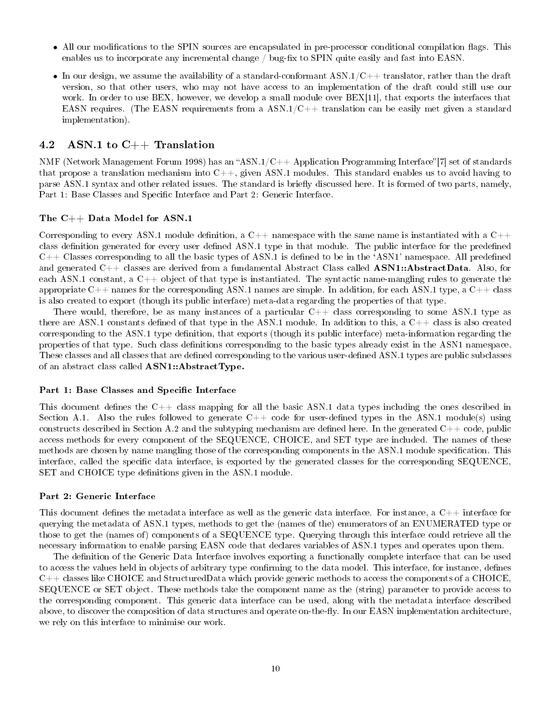- All our modications to the SPIN sources are encapsulated in pre-processor conditional compilation ags. This enables us to incorporate any incremental change  $/$  bug-fix to SPIN quite easily and fast into EASN.
- In our design, we assume the availability of a standard-conformant ASN.1/C++ translator, rather than the draft version, so that other users, who may not have access to an implementation of the draft could still use our work. In order to use BEX, however, we develop a small module over  $BEX[11]$ , that exports the interfaces that EASN requires. (The EASN requirements from a  $\text{ASN.1}/\text{C++}$  translation can be easily met given a standard implementation).

## 4.2 ASN.1 to C++ Translation

NMF (Network Management Forum 1998) has an "ASN.1/C++ Application Programming Interface"[7] set of standards that propose a translation mechanism into  $C_{++}$ , given ASN.1 modules. This standard enables us to avoid having to parse ASN.1 syntax and other related issues. The standard is briefly discussed here. It is formed of two parts, namely, Part 1: Base Classes and Specific Interface and Part 2: Generic Interface.

### The C++ Data Model for ASN.1

Corresponding to every ASN.1 module definition, a  $C++$  namespace with the same name is instantiated with a  $C++$ class definition generated for every user defined ASN.1 type in that module. The public interface for the predefined  $C++$  Classes corresponding to all the basic types of ASN.1 is defined to be in the 'ASN1' namespace. All predefined and generated  $C_{++}$  classes are derived from a fundamental Abstract Class called  $\bf ASN1::\bf AbstractData$ . Also, for each ASN.1 constant, a  $C++$  object of that type is instantiated. The syntactic name-mangling rules to generate the appropriate  $C++$  names for the corresponding ASN.1 names are simple. In addition, for each ASN.1 type, a  $C++$  class is also created to export (though its public interface) meta-data regarding the properties of that type.

There would, therefore, be as many instances of a particular  $C++$  class corresponding to some ASN.1 type as there are ASN.1 constants defined of that type in the ASN.1 module. In addition to this, a  $C++$  class is also created corresponding to the ASN.1 type definition, that exports (though its public interface) meta-information regarding the properties of that type. Such class denitions corresponding to the basic types already exist in the ASN1 namespace. These classes and all classes that are defined corresponding to the various user-defined ASN.1 types are public subclasses of an abstract class called ASN1::AbstractType.

#### Part 1: Base Classes and Specific Interface

This document defines the  $C++$  class mapping for all the basic ASN.1 data types including the ones described in Section A.1. Also the rules followed to generate  $C++$  code for user-defined types in the ASN.1 module(s) using constructs described in Section A.2 and the subtyping mechanism are defined here. In the generated  $C++$  code, public access methods for every component of the SEQUENCE, CHOICE, and SET type are included. The names of these methods are chosen by name mangling those of the corresponding components in the ASN.1 module specification. This interface, called the specific data interface, is exported by the generated classes for the corresponding SEQUENCE, SET and CHOICE type definitions given in the ASN.1 module.

#### Part 2: Generic Interface

This document defines the metadata interface as well as the generic data interface. For instance, a  $C++$  interface for querying the metadata of ASN.1 types, methods to get the (names of the) enumerators of an ENUMERATED type or those to get the (names of) components of a SEQUENCE type. Querying through this interface could retrieve all the necessary information to enable parsing EASN code that declares variables of ASN.1 types and operates upon them.

The definition of the Generic Data Interface involves exporting a functionally complete interface that can be used to access the values held in objects of arbitrary type confirming to the data model. This interface, for instance, defines  $C++$  classes like CHOICE and StructuredData which provide generic methods to access the components of a CHOICE, SEQUENCE or SET object. These methods take the component name as the (string) parameter to provide access to the corresponding component. This generic data interface can be used, along with the metadata interface described above, to discover the composition of data structures and operate on-the-fly. In our EASN implementation architecture, we rely on this interface to minimise our work.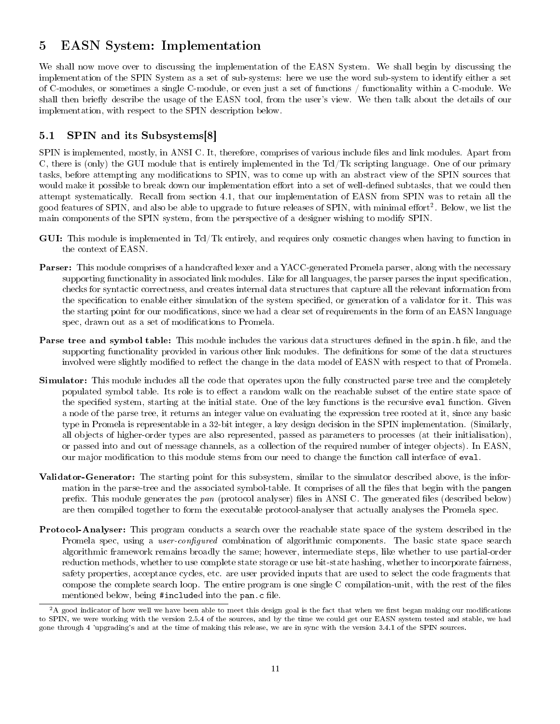## 5 EASN System: Implementation

We shall now move over to discussing the implementation of the EASN System. We shall begin by discussing the implementation of the SPIN System as a set of sub-systems: here we use the word sub-system to identify either a set of C-modules, or sometimes a single C-module, or even just a set of functions / functionality within a C-module. We shall then briefly describe the usage of the EASN tool, from the user's view. We then talk about the details of our implementation, with respect to the SPIN description below.

## 5.1 SPIN and its Subsystems[8]

SPIN is implemented, mostly, in ANSI C. It, therefore, comprises of various include files and link modules. Apart from C, there is (only) the GUI module that is entirely implemented in the Tcl/Tk scripting language. One of our primary tasks, before attempting any modifications to SPIN, was to come up with an abstract view of the SPIN sources that would make it possible to break down our implementation effort into a set of well-defined subtasks, that we could then attempt systematically. Recall from section 4.1, that our implementation of EASN from SPIN was to retain all the good reatures of SPIN, and also be able to upgrade to future releases of SPIN, with minimal enort-. Below, we list the main components of the SPIN system, from the perspective of a designer wishing to modify SPIN.

- GUI: This module is implemented in Tcl/Tk entirely, and requires only cosmetic changes when having to function in the context of EASN.
- Parser: This module comprises of a handcrafted lexer and a YACC-generated Promela parser, along with the necessary supporting functionality in associated link modules. Like for all languages, the parser parses the input specification, checks for syntactic correctness, and creates internal data structures that capture all the relevant information from the specification to enable either simulation of the system specified, or generation of a validator for it. This was the starting point for our modifications, since we had a clear set of requirements in the form of an EASN language spec, drawn out as a set of modifications to Promela.
- Parse tree and symbol table: This module includes the various data structures defined in the spin.h file, and the supporting functionality provided in various other link modules. The definitions for some of the data structures involved were slightly modified to reflect the change in the data model of EASN with respect to that of Promela.
- Simulator: This module includes all the code that operates upon the fully constructed parse tree and the completely populated symbol table. Its role is to effect a random walk on the reachable subset of the entire state space of the specified system, starting at the initial state. One of the key functions is the recursive eval function. Given a node of the parse tree, it returns an integer value on evaluating the expression tree rooted at it, since any basic type in Promela is representable in a 32-bit integer, a key design decision in the SPIN implementation. (Similarly, all ob jects of higher-order types are also represented, passed as parameters to processes (at their initialisation), or passed into and out of message channels, as a collection of the required number of integer ob jects). In EASN, our major modification to this module stems from our need to change the function call interface of eval.
- Validator-Generator: The starting point for this subsystem, similar to the simulator described above, is the information in the parse-tree and the associated symbol-table. It comprises of all the files that begin with the pangen prefix. This module generates the pan (protocol analyser) files in ANSI C. The generated files (described below) are then compiled together to form the executable protocol-analyser that actually analyses the Promela spec.
- Protocol-Analyser: This program conducts a search over the reachable state space of the system described in the Promela spec, using a *user-configured* combination of algorithmic components. The basic state space search algorithmic framework remains broadly the same; however, intermediate steps, like whether to use partial-order reduction methods, whether to use complete state storage or use bit-state hashing, whether to incorporate fairness, safety properties, acceptance cycles, etc. are user provided inputs that are used to select the code fragments that compose the complete search loop. The entire program is one single C compilation-unit, with the rest of the les mentioned below, being #included into the pan.c file.<br><sup>2</sup>A good indicator of how well we have been able to meet this design goal is the fact that when we first began making our modifications

to SPIN, we were working with the version 2.5.4 of the sources, and by the time we could get our EASN system tested and stable, we had gone through 4 'upgrading's and at the time of making this release, we are in sync with the version 3.4.1 of the SPIN sources.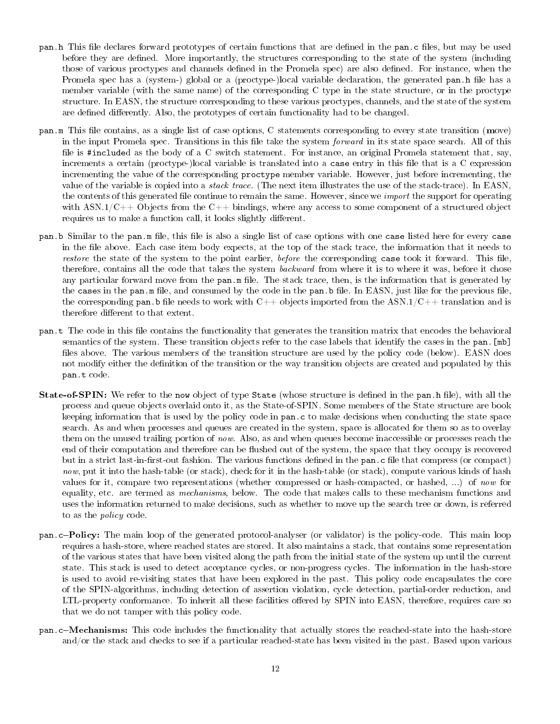- pan.h This file declares forward prototypes of certain functions that are defined in the pan.c files, but may be used before they are defined. More importantly, the structures corresponding to the state of the system (including those of various proctypes and channels defined in the Promela spec) are also defined. For instance, when the Promela spec has a (system-) global or a (proctype-)local variable declaration, the generated pan.h file has a member variable (with the same name) of the corresponding C type in the state structure, or in the proctype structure. In EASN, the structure corresponding to these various proctypes, channels, and the state of the system are defined differently. Also, the prototypes of certain functionality had to be changed.
- pan.m This file contains, as a single list of case options, C statements corresponding to every state transition (move) in the input Promela spec. Transitions in this file take the system *forward* in its state space search. All of this file is  $\#$ included as the body of a C switch statement. For instance, an original Promela statement that, say, increments a certain (proctype-)local variable is translated into a case entry in this file that is a C expression incrementing the value of the corresponding proctype member variable. However, just before incrementing, the value of the variable is copied into a stack trace. (The next item illustrates the use of the stack-trace). In EASN, the contents of this generated file continue to remain the same. However, since we *import* the support for operating with  $ASN.1/C++$  Objects from the  $C++$  bindings, where any access to some component of a structured object requires us to make a function call, it looks slightly different.
- pan.b Similar to the pan.m file, this file is also a single list of case options with one case listed here for every case in the file above. Each case item body expects, at the top of the stack trace, the information that it needs to restore the state of the system to the point early early the corresponding case to the total the most it was t therefore, contains all the code that takes the system *backward* from where it is to where it was, before it chose any particular forward move from the pan.m file. The stack trace, then, is the information that is generated by the cases in the pan.m file, and consumed by the code in the pan.b file. In EASN, just like for the previous file, the corresponding pan.b file needs to work with  $C++$  objects imported from the ASN.1/C++ translation and is therefore different to that extent.
- pan.t The code in this file contains the functionality that generates the transition matrix that encodes the behavioral semantics of the system. These transition objects refer to the case labels that identify the cases in the pan. [mb] files above. The various members of the transition structure are used by the policy code (below). EASN does not modify either the definition of the transition or the way transition objects are created and populated by this pan.t code.
- State-of-SPIN: We refer to the now object of type State (whose structure is defined in the pan.h file), with all the process and queue ob jects overlaid onto it, as the State-of-SPIN. Some members of the State structure are book keeping information that is used by the policy code in pan.c to make decisions when conducting the state space search. As and when processes and queues are created in the system, space is allocated for them so as to overlay them on the unused trailing portion of now. Also, as and when queues become inaccessible or processes reach the end of their computation and therefore can be flushed out of the system, the space that they occupy is recovered but in a strict last-in-first-out fashion. The various functions defined in the pan. c file that compress (or compact) now, put it into the hash-table (or stack), check for it in the hash-table (or stack), compute various kinds of hash values for it, compare two representations (whether compressed or hash-compacted, or hashed, ...) of now for equality, etc. are termed as mechanisms, below. The code that makes calls to these mechanism functions and uses the information returned to make decisions, such as whether to move up the search tree or down, is referred to as the policy code.
- pan.cPolicy: The main loop of the generated protocol-analyser (or validator) is the policy-code. This main loop requires a hash-store, where reached states are stored. It also maintains a stack, that contains some representation of the various states that have been visited along the path from the initial state of the system up until the current state. This stack is used to detect acceptance cycles, or non-progress cycles. The information in the hash-store is used to avoid re-visiting states that have been explored in the past. This policy code encapsulates the core of the SPIN-algorithms, including detection of assertion violation, cycle detection, partial-order reduction, and LTL-property conformance. To inherit all these facilities offered by SPIN into EASN, therefore, requires care so that we do not tamper with this policy code.
- pan. c-Mechanisms: This code includes the functionality that actually stores the reached-state into the hash-store and/or the stack and checks to see if a particular reached-state has been visited in the past. Based upon various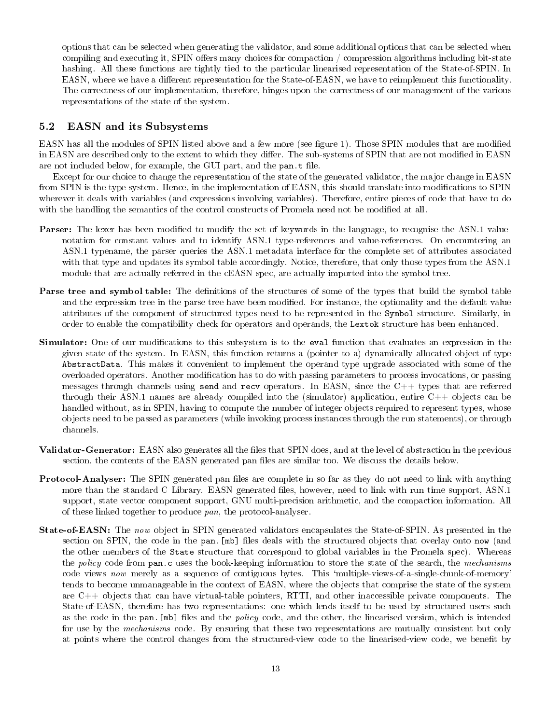options that can be selected when generating the validator, and some additional options that can be selected when compiling and executing it, SPIN offers many choices for compaction  $/$  compression algorithms including bit-state hashing. All these functions are tightly tied to the particular linearised representation of the State-of-SPIN. In EASN, where we have a different representation for the State-of-EASN, we have to reimplement this functionality. The correctness of our implementation, therefore, hinges upon the correctness of our management of the various representations of the state of the system.

## 5.2 EASN and its Subsystems

EASN has all the modules of SPIN listed above and a few more (see figure 1). Those SPIN modules that are modified in EASN are described only to the extent to which they differ. The sub-systems of SPIN that are not modified in EASN are not included below, for example, the GUI part, and the pan.t file.

Except for our choice to change the representation of the state of the generated validator, the major change in EASN from SPIN is the type system. Hence, in the implementation of EASN, this should translate into modifications to SPIN wherever it deals with variables (and expressions involving variables). Therefore, entire pieces of code that have to do with the handling the semantics of the control constructs of Promela need not be modified at all.

- **Parser:** The lexer has been modified to modify the set of keywords in the language, to recognise the ASN.1 valuenotation for constant values and to identify ASN.1 type-references and value-references. On encountering an ASN.1 typename, the parser queries the ASN.1 metadata interface for the complete set of attributes associated with that type and updates its symbol table accordingly. Notice, therefore, that only those types from the ASN.1 module that are actually referred in the cEASN spec, are actually imported into the symbol tree.
- Parse tree and symbol table: The definitions of the structures of some of the types that build the symbol table and the expression tree in the parse tree have been modified. For instance, the optionality and the default value attributes of the component of structured types need to be represented in the Symbol structure. Similarly, in order to enable the compatibility check for operators and operands, the Lextok structure has been enhanced.
- Simulator: One of our modifications to this subsystem is to the eval function that evaluates an expression in the given state of the system. In EASN, this function returns a (pointer to a) dynamically allocated ob ject of type AbstractData. This makes it convenient to implement the operand type upgrade associated with some of the overloaded operators. Another modification has to do with passing parameters to process invocations, or passing messages through channels using send and recv operators. In EASN, since the  $C++$  types that are referred through their ASN.1 names are already compiled into the (simulator) application, entire  $C++$  objects can be handled without, as in SPIN, having to compute the number of integer objects required to represent types, whose ob jects need to be passed as parameters (while invoking process instances through the run statements), or through channels.
- Validator-Generator: EASN also generates all the files that SPIN does, and at the level of abstraction in the previous section, the contents of the EASN generated pan files are similar too. We discuss the details below.
- **Protocol-Analyser:** The SPIN generated pan files are complete in so far as they do not need to link with anything more than the standard C Library. EASN generated files, however, need to link with run time support, ASN.1 support, state vector component support, GNU multi-precision arithmetic, and the compaction information. All of these linked together to produce pan, the protocol-analyser.
- **State-of-EASN:** The now object in SPIN generated validators encapsulates the State-of-SPIN. As presented in the section on SPIN, the code in the pan. [mb] files deals with the structured objects that overlay onto now (and the other members of the State structure that correspond to global variables in the Promela spec). Whereas the policy code from pan.c uses the book-keeping information to store the state of the search, the mechanisms code views now merely as a sequence of contiguous bytes. This 'multiple-views-of-a-single-chunk-of-memory' tends to become unmanageable in the context of EASN, where the ob jects that comprise the state of the system are  $C_{++}$  objects that can have virtual-table pointers, RTTI, and other inaccessible private components. The State-of-EASN, therefore has two representations: one which lends itself to be used by structured users such as the code in the pan. [mb] files and the *policy* code, and the other, the linearised version, which is intended for use by the *mechanisms* code. By ensuring that these two representations are mutually consistent but only at points where the control changes from the structured-view code to the linearised-view code, we benet by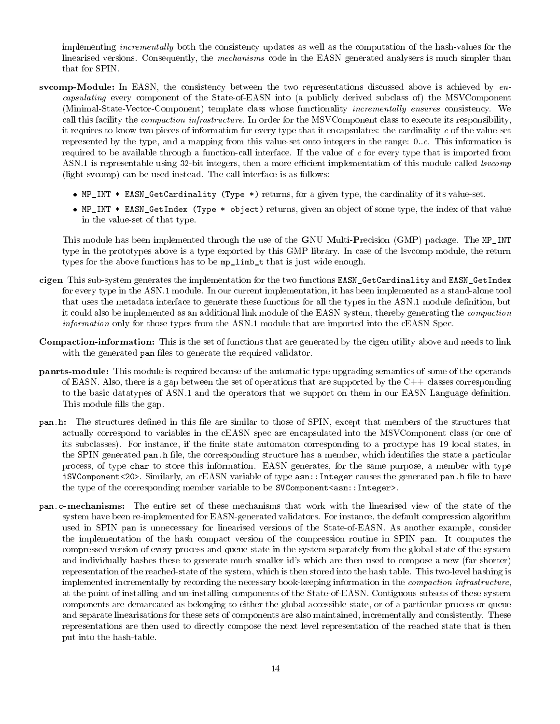implementing *incrementally* both the consistency updates as well as the computation of the hash-values for the linearised versions. Consequently, the mechanisms code in the EASN generated analysers is much simpler than that for SPIN.

- svcomp-Module: In EASN, the consistency between the two representations discussed above is achieved by encapsulating every component of the State-of-EASN into (a publicly derived subclass subclass of ) the MSVComponent (Minimal-State-Vector-Component) template class whose functionality *incrementally ensures* consistency. We call this facility the compaction infrastructure. In order for the MSVComponent class to execute its responsibility, it requires to know two pieces of information for every type that it encapsulates: the cardinality <sup>c</sup> of the value-set represented by the type, and a mapping from this value-set onto integers in the range: 0..c. This information is required to be available through a function-call interface. If the value of  $c$  for every type that is imported from ASN.1 is representable using 32-bit integers, then a more efficient implementation of this module called *lsvcomp* (light-svcomp) can be used instead. The call interface is as follows:
	- MP\_INT \* EASN\_GetCardinality (Type \*) returns, for a given type, the cardinality of its value-set.
	- $M$  into the intervalue objective type  $\mathcal{N}$  and index of the index of that values, the index of that values of that values of the index of that values of that values of that values of the index of that values of the i in the value-set of that type.

This module has been implemented through the use of the GNU Multi-Precision (GMP) package. The MP\_INT type in the prototypes above is a type exported by this GMP library. In case of the lsvcomp module, the return types for the above functions has to be mp\_limb\_t that is just wide enough.

- cigen This sub-system generates the implementation for the two functions EASN\_GetCardinality and EASN\_GetIndex for every type in the ASN.1 module. In our current implementation, it has been implemented as a stand-alone tool that uses the metadata interface to generate these functions for all the types in the ASN.1 module definition, but it could also be implemented as an additional link module of the EASN system, thereby generating the compaction information only for those types from the ASN.1 module that are imported into the cEASN Spec.
- Compaction-information: This is the set of functions that are generated by the cigen utility above and needs to link with the generated pan files to generate the required validator.
- panrts-module: This module is required because of the automatic type upgrading semantics of some of the operands of EASN. Also, there is a gap between the set of operations that are supported by the  $C++$  classes corresponding to the basic datatypes of ASN.1 and the operators that we support on them in our EASN Language denition. This module fills the gap.
- pan.h: The structures defined in this file are similar to those of SPIN, except that members of the structures that actually correspond to variables in the cEASN spec are encapsulated into the MSVComponent class (or one of its subclasses). For instance, if the finite state automaton corresponding to a proctype has 19 local states, in the SPIN generated pan.h file, the corresponding structure has a member, which identifies the state a particular process, of type char to store this information. EASN generates, for the same purpose, a member with type iSVComponent<20>. Similarly, an cEASN variable of type asn::Integer causes the generated pan.h file to have the type of the corresponding member variable to be SVComponent<asn::Integer>.
- pan.c-mechanisms: The entire set of these mechanisms that work with the linearised view of the state of the system have been re-implemented for EASN-generated validators. For instance, the default compression algorithm used in SPIN pan is unnecessary for linearised versions of the State-of-EASN. As another example, consider the implementation of the hash compact version of the compression routine in SPIN pan. It computes the compressed version of every process and queue state in the system separately from the global state of the system and individually hashes these to generate much smaller id's which are then used to compose a new (far shorter) representation of the reached-state of the system, which is then stored into the hash table. This two-level hashing is implemented incrementally by recording the necessary book-keeping information in the compaction infrastructure, at the point of installing and un-installing components of the State-of-EASN. Contiguous subsets of these system components are demarcated as belonging to either the global accessible state, or of a particular process or queue and separate linearisations for these sets of components are also maintained, incrementally and consistently. These representations are then used to directly compose the next level representation of the reached state that is then put into the hash-table.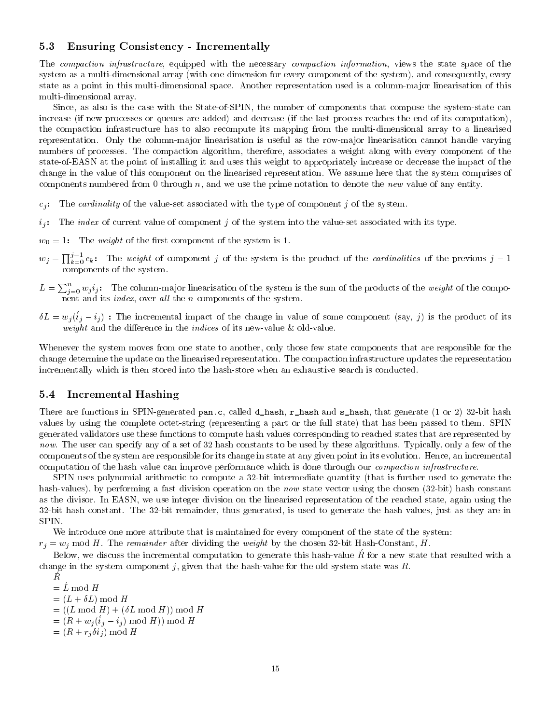## 5.3 Ensuring Consistency - Incrementally

The compaction infrastructure, equipped with the necessary compaction information, views the state space of the system as a multi-dimensional array (with one dimension for every component of the system), and consequently, every state as a point in this multi-dimensional space. Another representation used is a column-major linearisation of this multi-dimensional array.

Since, as also is the case with the State-of-SPIN, the number of components that compose the system-state can increase (if new processes or queues are added) and decrease (if the last process reaches the end of its computation), the compaction infrastructure has to also recompute its mapping from the multi-dimensional array to a linearised representation. Only the column-major linearisation is useful as the row-major linearisation cannot handle varying numbers of processes. The compaction algorithm, therefore, associates a weight along with every component of the state-of-EASN at the point of installing it and uses this weight to appropriately increase or decrease the impact of the change in the value of this component on the linearised representation. We assume here that the system comprises of components numbered from 0 through  $n$ , and we use the prime notation to denote the new value of any entity.

- $c_j$ : The *cardinality* of the value-set associated with the type of component j of the system.
- $i_j$ : The *index* of current value of component j of the system into the value-set associated with its type.
- $w_0 = 1$ : The *weight* of the first component of the system is 1.
- $w_j = \prod_{k=0}^{j-1} c_k$ : The weight of component j of the system is the product of the cardinalities of the previous  $j-1$ components of the system.
- $L = \sum_{j=0}^n w_j i_j$ : The column-major linearisation of the system is the sum of the products of the weight of the component and its index, over al<sup>l</sup> the <sup>n</sup> components of the system.
- $\delta L = w_i (i_i i_i)$ : The incremental impact of the change in value of some component (say, j) is the product of its weight and the dierence in the indices of its new-value  $\sim$

Whenever the system moves from one state to another, only those few state components that are responsible for the change determine the update on the linearised representation. The compaction infrastructure updates the representation incrementally which is then stored into the hash-store when an exhaustive search is conducted.

### 5.4 Incremental Hashing

There are functions in SPIN-generated pan.c, called d\_hash, r\_hash and s\_hash, that generate (1 or 2) 32-bit hash values by using the complete octet-string (representing a part or the full state) that has been passed to them. SPIN generated validators use these functions to compute hash values corresponding to reached states that are represented by now. The user can specify any of a set of 32 hash constants to be used by these algorithms. Typically, only a few of the components of the system are responsible for its change in state at any given point in its evolution. Hence, an incremental computation of the hash value can improve performance which is done through our compaction infrastructure.

SPIN uses polynomial arithmetic to compute a 32-bit intermediate quantity (that is further used to generate the hash-values), by performing a fast division operation on the now state vector using the chosen (32-bit) hash constant as the divisor. In EASN, we use integer division on the linearised representation of the reached state, again using the 32-bit hash constant. The 32-bit remainder, thus generated, is used to generate the hash values, just as they are in SPIN.

We introduce one more attribute that is maintained for every component of the state of the system:

 $r_j = w_j \mod H$ . The remainder after dividing the weight by the chosen 32-bit Hash-Constant, H.

 $\bf p$ elow, we discuss the incremental computation to generate this hash-value  $R$  for a new state that resulted with a change in the system component j, given that the hash-value for the old system state was  $R$ .

 $\mathop{R}\limits^{\dot{R}}=\mathop{L}\limits^{\dot{L}}$  mod  $H$  $=(L + \delta L) \bmod H$  $= ((L \bmod H) + (\delta L \bmod H)) \bmod H$  $=(R + w_j(i_j - i_j) \mod H)$  mod H  $=(R + r_i \delta i_i) \bmod H$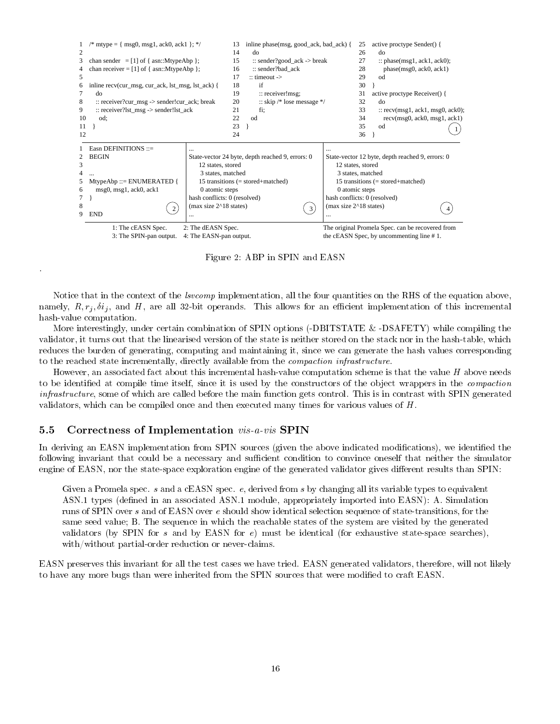

Figure 2: ABP in SPIN and EASN

Notice that in the context of the *lsvcomp* implementation, all the four quantities on the RHS of the equation above, namely,  $R, r_i, \delta i_j$ , and H, are all 32-bit operands. This allows for an efficient implementation of this incremental hash-value computation.

More interestingly, under certain combination of SPIN options (-DBITSTATE & -DSAFETY) while compiling the validator, it turns out that the linearised version of the state is neither stored on the stack nor in the hash-table, which reduces the burden of generating, computing and maintaining it, since we can generate the hash values corresponding to the reached state incrementally, directly available from the *compaction infrastructure*.

However, an associated fact about this incremental hash-value computation scheme is that the value  $H$  above needs to be identified at compile time itself, since it is used by the constructors of the object wrappers in the *compaction* infrastructure, some of which are called before the main function gets control. This is in contrast with SPIN generated validators, which can be compiled once and then executed many times for various values of H.

#### 5.5 Correctness of Implementation vis-a-vis SPIN 5.5

In deriving an EASN implementation from SPIN sources (given the above indicated modifications), we identified the following invariant that could be a necessary and sufficient condition to convince oneself that neither the simulator engine of EASN, nor the state-space exploration engine of the generated validator gives different results than SPIN:

Given a Promela spec. s and a cEASN spec. e, derived from s by changing all its variable types to equivalent ASN.1 types (defined in an associated ASN.1 module, appropriately imported into EASN): A. Simulation runs of SPIN over <sup>s</sup> and of EASN over <sup>e</sup> should show identical selection sequence of state-transitions, for the same seed value; B. The sequence in which the reachable states of the system are visited by the generated validators (by SPIN for  $s$  and by EASN for  $e$ ) must be identical (for exhaustive state-space searches),  $\text{with}/\text{without partial-order reduction or never-clains.}$ 

EASN preserves this invariant for all the test cases we have tried. EASN generated validators, therefore, will not likely to have any more bugs than were inherited from the SPIN sources that were modified to craft EASN.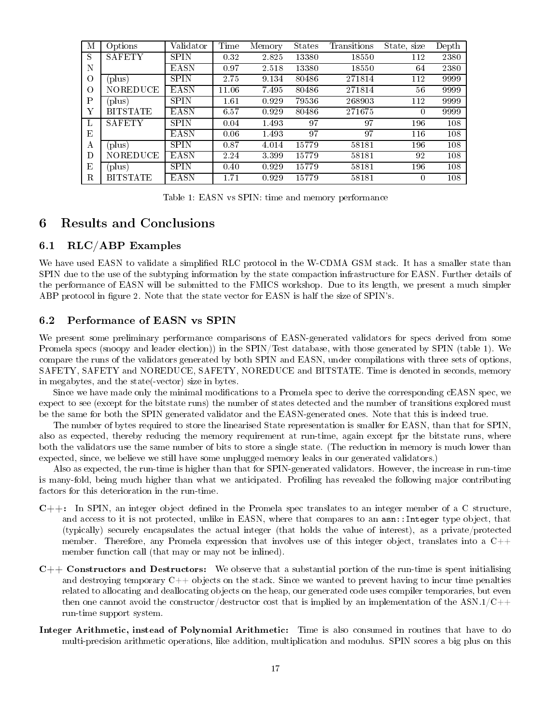| М  | Options         | $\sqrt{\mathrm{a}}$ lidator | Time  | Memory | <b>States</b> | Transitions | State, size | Depth |
|----|-----------------|-----------------------------|-------|--------|---------------|-------------|-------------|-------|
| S  | <b>SAFETY</b>   | <b>SPIN</b>                 | 0.32  | 2.825  | 13380         | 18550       | 112         | 2380  |
| Ν  |                 | <b>EASN</b>                 | 0.97  | 2.518  | 13380         | 18550       | 64          | 2380  |
| O  | (plus)          | <b>SPIN</b>                 | 2.75  | 9.134  | 80486         | 271814      | 112         | 9999  |
| O  | NOREDUCE        | <b>EASN</b>                 | 11.06 | 7.495  | 80486         | 271814      | 56          | 9999  |
| P  | (plus)          | <b>SPIN</b>                 | 1.61  | 0.929  | 79536         | 268903      | 112         | 9999  |
| Y  | <b>BITSTATE</b> | <b>EASN</b>                 | 6.57  | 0.929  | 80486         | 271675      | 0           | 9999  |
| Ь  | SAFETY          | <b>SPIN</b>                 | 0.04  | 1.493  | 97            | 97          | 196         | 108   |
| Е  |                 | <b>EASN</b>                 | 0.06  | 1.493  | 97            | 97          | 116         | 108   |
| Α  | (plus)          | <b>SPIN</b>                 | 0.87  | 4.014  | 15779         | 58181       | 196         | 108   |
| D  | <b>NOREDUCE</b> | <b>EASN</b>                 | 2.24  | 3.399  | 15779         | 58181       | 92          | 108   |
| E  | (plus)          | SPIN                        | 0.40  | 0.929  | 15779         | 58181       | 196         | 108   |
| R. | <b>BITSTATE</b> | <b>EASN</b>                 | .71   | 0.929  | 15779         | 58181       |             | 108   |

Table 1: EASN vs SPIN: time and memory performance

#### 6 Results and Conclusions 6

## 6.1 RLC/ABP Examples

We have used EASN to validate a simplified RLC protocol in the W-CDMA GSM stack. It has a smaller state than SPIN due to the use of the subtyping information by the state compaction infrastructure for EASN. Further details of the performance of EASN will be submitted to the FMICS workshop. Due to its length, we present a much simpler ABP protocol in figure 2. Note that the state vector for EASN is half the size of SPIN's.

### 6.2 Performance of EASN vs SPIN

We present some preliminary performance comparisons of EASN-generated validators for specs derived from some Promela specs (snoopy and leader election)) in the SPIN/Test database, with those generated by SPIN (table 1). We compare the runs of the validators generated by both SPIN and EASN, under compilations with three sets of options, SAFETY, SAFETY and NOREDUCE, SAFETY, NOREDUCE and BITSTATE. Time is denoted in seconds, memory in megabytes, and the state(-vector) size in bytes.

Since we have made only the minimal modifications to a Promela spec to derive the corresponding cEASN spec, we expect to see (except for the bitstate runs) the number of states detected and the number of transitions explored must be the same for both the SPIN generated validator and the EASN-generated ones. Note that this is indeed true.

The number of bytes required to store the linearised State representation is smaller for EASN, than that for SPIN, also as expected, thereby reducing the memory requirement at run-time, again except fpr the bitstate runs, where both the validators use the same number of bits to store a single state. (The reduction in memory is much lower than expected, since, we believe we still have some unplugged memory leaks in our generated validators.)

Also as expected, the run-time is higher than that for SPIN-generated validators. However, the increase in run-time is many-fold, being much higher than what we anticipated. Profiling has revealed the following major contributing factors for this deterioration in the run-time.

- $C++:$  In SPIN, an integer object defined in the Promela spec translates to an integer member of a C structure, and access to it is not protected, unlike in EASN, where that compares to an asn: Integer type object, that (typically) securely encapsulates the actual integer (that holds the value of interest), as a private/protected member. Therefore, any Promela expression that involves use of this integer object, translates into a  $C++$ member function call (that may or may not be inlined).
- $C++$  Constructors and Destructors: We observe that a substantial portion of the run-time is spent initialising and destroying temporary  $C++$  objects on the stack. Since we wanted to prevent having to incur time penalties related to allocating and deallocating objects on the heap, our generated code uses compiler temporaries, but even then one cannot avoid the constructor/destructor cost that is implied by an implementation of the  $\text{ASN.1/C++}$ run-time support system.
- Integer Arithmetic, instead of Polynomial Arithmetic: Time is also consumed in routines that have to do multi-precision arithmetic operations, like addition, multiplication and modulus. SPIN scores a big plus on this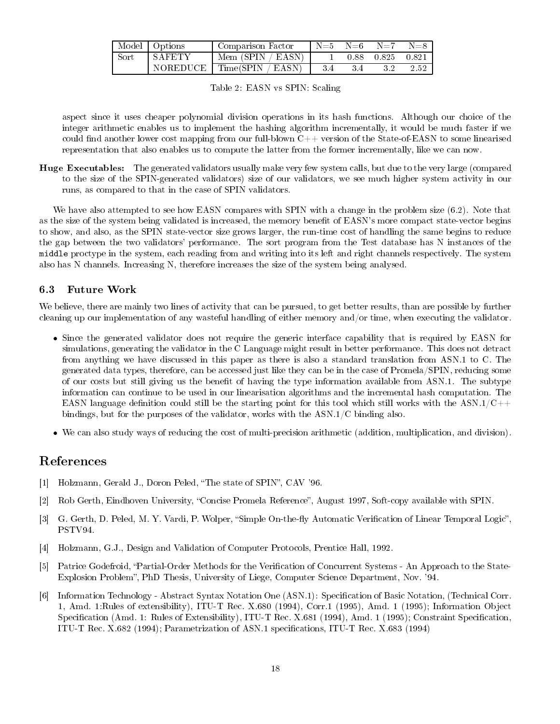| Model         | • Options              | Comparison Factor        | $N=5$ $N=6$ |      | $N=7$ | $N = 8$ |
|---------------|------------------------|--------------------------|-------------|------|-------|---------|
| $_{\rm Sort}$ | SAFETY                 | $'$ EASN).<br>Mem (SPIN) |             | 0.88 | 0.825 | 0.821   |
|               | NOREDUCE   Time(SPIN / | / EASN)                  |             |      |       | 2.52    |

Table 2: EASN vs SPIN: Scaling

aspect since it uses cheaper polynomial division operations in its hash functions. Although our choice of the integer arithmetic enables us to implement the hashing algorithm incrementally, it would be much faster if we could find another lower cost mapping from our full-blown  $C++$  version of the State-of-EASN to some linearised representation that also enables us to compute the latter from the former incrementally, like we can now.

Huge Executables: The generated validators usually make very few system calls, but due to the very large (compared to the size of the SPIN-generated validators) size of our validators, we see much higher system activity in our runs, as compared to that in the case of SPIN validators.

We have also attempted to see how EASN compares with SPIN with a change in the problem size  $(6.2)$ . Note that as the size of the system being validated is increased, the memory benefit of EASN's more compact state-vector begins to show, and also, as the SPIN state-vector size grows larger, the run-time cost of handling the same begins to reduce the gap between the two validators' performance. The sort program from the Test database has N instances of the middle proctype in the system, each reading from and writing into its left and right channels respectively. The system also has N channels. Increasing N, therefore increases the size of the system being analysed.

#### **Future Work** 6.3

We believe, there are mainly two lines of activity that can be pursued, to get better results, than are possible by further cleaning up our implementation of any wasteful handling of either memory and/or time, when executing the validator.

- Since the generated validator does not require the generic interface capability that is required by EASN for simulations, generating the validator in the C Language might result in better performance. This does not detract from anything we have discussed in this paper as there is also a standard translation from ASN.1 to C. The generated data types, therefore, can be accessed just like they can be in the case of Promela/SPIN, reducing some of our costs but still giving us the benefit of having the type information available from ASN.1. The subtype information can continue to be used in our linearisation algorithms and the incremental hash computation. The EASN language definition could still be the starting point for this tool which still works with the ASN.1/C++ bindings, but for the purposes of the validator, works with the ASN.1/C binding also.
- We can also study ways of reducing the cost of multi-precision arithmetic (addition, multiplication, and division).

## References

- [1] Holzmann, Gerald J., Doron Peled, "The state of SPIN", CAV '96.
- [2] Rob Gerth, Eindhoven University, "Concise Promela Reference", August 1997, Soft-copy available with SPIN.
- [3] G. Gerth, D. Peled, M. Y. Vardi, P. Wolper, "Simple On-the-fly Automatic Verification of Linear Temporal Logic", PSTV94.
- [4] Holzmann, G.J., Design and Validation of Computer Protocols, Prentice Hall, 1992.
- [5] Patrice Godefroid, "Partial-Order Methods for the Verification of Concurrent Systems An Approach to the State-Explosion Problem, PhD Thesis, University of Liege, Computer Science Department, Nov. '94.
- [6] Information Technology Abstract Syntax Notation One (ASN.1): Specification of Basic Notation, (Technical Corr. 1, Amd. 1:Rules of extensibility), ITU-T Rec. X.680 (1994), Corr.1 (1995), Amd. 1 (1995); Information Ob ject Specification (Amd. 1: Rules of Extensibility), ITU-T Rec. X.681 (1994), Amd. 1 (1995); Constraint Specification, ITU-T Rec. X.682 (1994); Parametrization of ASN.1 specications, ITU-T Rec. X.683 (1994)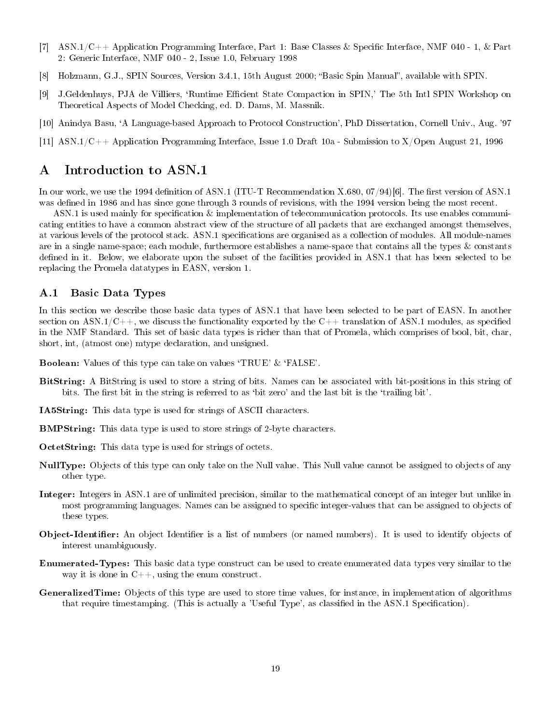- [7] ASN.1/C++ Application Programming Interface, Part 1: Base Classes & Specic Interface, NMF 040 1, & Part 2: Generic Interface, NMF 040 - 2, Issue 1.0, February 1998
- [8] Holzmann, G.J., SPIN Sources, Version 3.4.1, 15th August 2000; "Basic Spin Manual", available with SPIN.
- [9] J.Geldenhuys, PJA de Villiers, 'Runtime Efficient State Compaction in SPIN,' The 5th Intl SPIN Workshop on Theoretical Aspects of Model Checking, ed. D. Dams, M. Massnik.
- [10] Anindya Basu, `A Language-based Approach to Protocol Construction', PhD Dissertation, Cornell Univ., Aug. '97
- [11] ASN.1/C++ Application Programming Interface, Issue 1.0 Draft 10a Submission to X/Open August 21, 1996

## A Introduction to ASN.1

In our work, we use the 1994 definition of ASN.1 (ITU-T Recommendation X.680, 07/94)[6]. The first version of ASN.1 was defined in 1986 and has since gone through 3 rounds of revisions, with the 1994 version being the most recent.

ASN.1 is used mainly for specification  $\&$  implementation of telecommunication protocols. Its use enables communicating entities to have a common abstract view of the structure of all packets that are exchanged amongst themselves, at various levels of the protocol stack. ASN.1 specifications are organised as a collection of modules. All module-names are in a single name-space; each module, furthermore establishes a name-space that contains all the types & constants defined in it. Below, we elaborate upon the subset of the facilities provided in ASN.1 that has been selected to be replacing the Promela datatypes in EASN, version 1.

## A.1 Basic Data Types

In this section we describe those basic data types of ASN.1 that have been selected to be part of EASN. In another section on  $\text{ASN.1/C++}$ , we discuss the functionality exported by the C++ translation of ASN.1 modules, as specified in the NMF Standard. This set of basic data types is richer than that of Promela, which comprises of bool, bit, char, short, int, (atmost one) mtype declaration, and unsigned.

- Boolean: Values of this type can take on values 'TRUE' & 'FALSE'.
- BitString: A BitString is used to store a string of bits. Names can be associated with bit-positions in this string of bits. The first bit in the string is referred to as 'bit zero' and the last bit is the 'trailing bit'.
- IA5String: This data type is used for strings of ASCII characters.
- BMPString: This data type is used to store strings of 2-byte characters.
- OctetString: This data type is used for strings of octets.
- NullType: Objects of this type can only take on the Null value. This Null value cannot be assigned to objects of any other type.
- Integer: Integers in ASN.1 are of unlimited precision, similar to the mathematical concept of an integer but unlike in most programming languages. Names can be assigned to specific integer-values that can be assigned to objects of these types.
- Object-Identifier: An object Identifier is a list of numbers (or named numbers). It is used to identify objects of interest unambiguously.
- Enumerated-Types: This basic data type construct can be used to create enumerated data types very similar to the way it is done in  $C++$ , using the enum construct.
- GeneralizedTime: Objects of this type are used to store time values, for instance, in implementation of algorithms that require timestamping. (This is actually a 'Useful Type', as classified in the ASN.1 Specification).